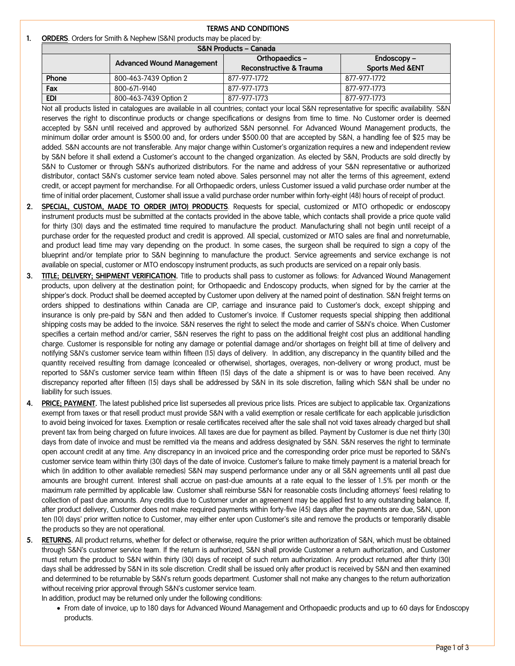## **TERMS AND CONDITIONS 1. ORDERS**. Orders for Smith & Nephew (S&N) products may be placed by:

| .                 |  |  |  |  |
|-------------------|--|--|--|--|
| mou ho placed buy |  |  |  |  |

| <b>S&amp;N Products - Canada</b> |                                  |                         |                            |  |  |  |  |
|----------------------------------|----------------------------------|-------------------------|----------------------------|--|--|--|--|
|                                  | <b>Advanced Wound Management</b> | Orthopaedics-           | $Endoscopy -$              |  |  |  |  |
|                                  |                                  | Reconstructive & Trauma | <b>Sports Med &amp;ENT</b> |  |  |  |  |
| Phone                            | 800-463-7439 Option 2            | 877-977-1772            | 877-977-1772               |  |  |  |  |
| Fax                              | 800-671-9140                     | 877-977-1773            | 877-977-1773               |  |  |  |  |
| <b>EDI</b>                       | 800-463-7439 Option 2            | 877-977-1773            | 877-977-1773               |  |  |  |  |

Not all products listed in catalogues are available in all countries; contact your local S&N representative for specific availability. S&N reserves the right to discontinue products or change specifications or designs from time to time. No Customer order is deemed accepted by S&N until received and approved by authorized S&N personnel. For Advanced Wound Management products, the minimum dollar order amount is \$500.00 and, for orders under \$500.00 that are accepted by S&N, a handling fee of \$25 may be added. S&N accounts are not transferable. Any major change within Customer's organization requires a new and independent review by S&N before it shall extend a Customer's account to the changed organization. As elected by S&N, Products are sold directly by S&N to Customer or through S&N's authorized distributors. For the name and address of your S&N representative or authorized distributor, contact S&N's customer service team noted above. Sales personnel may not alter the terms of this agreement, extend credit, or accept payment for merchandise. For all Orthopaedic orders, unless Customer issued a valid purchase order number at the time of initial order placement, Customer shall issue a valid purchase order number within forty-eight (48) hours of receipt of product.

- **2. SPECIAL, CUSTOM, MADE TO ORDER (MTO) PRODUCTS**. Requests for special, customized or MTO orthopedic or endoscopy instrument products must be submitted at the contacts provided in the above table, which contacts shall provide a price quote valid for thirty (30) days and the estimated time required to manufacture the product. Manufacturing shall not begin until receipt of a purchase order for the requested product and credit is approved. All special, customized or MTO sales are final and nonreturnable, and product lead time may vary depending on the product. In some cases, the surgeon shall be required to sign a copy of the blueprint and/or template prior to S&N beginning to manufacture the product. Service agreements and service exchange is not available on special, customer or MTO endoscopy instrument products, as such products are serviced on a repair only basis.
- **3. TITLE; DELIVERY; SHIPMENT VERIFICATION.** Title to products shall pass to customer as follows: for Advanced Wound Management products, upon delivery at the destination point; for Orthopaedic and Endoscopy products, when signed for by the carrier at the shipper's dock. Product shall be deemed accepted by Customer upon delivery at the named point of destination. S&N freight terms on orders shipped to destinations within Canada are CIP, carriage and insurance paid to Customer's dock, except shipping and insurance is only pre-paid by S&N and then added to Customer's invoice. If Customer requests special shipping then additional shipping costs may be added to the invoice. S&N reserves the right to select the mode and carrier of S&N's choice. When Customer specifies a certain method and/or carrier, S&N reserves the right to pass on the additional freight cost plus an additional handling charge. Customer is responsible for noting any damage or potential damage and/or shortages on freight bill at time of delivery and notifying S&N's customer service team within fifteen (15) days of delivery. In addition, any discrepancy in the quantity billed and the quantity received resulting from damage (concealed or otherwise), shortages, overages, non-delivery or wrong product, must be reported to S&N's customer service team within fifteen (15) days of the date a shipment is or was to have been received. Any discrepancy reported after fifteen (15) days shall be addressed by S&N in its sole discretion, failing which S&N shall be under no liability for such issues.
- **4. PRICE; PAYMENT.** The latest published price list supersedes all previous price lists. Prices are subject to applicable tax. Organizations exempt from taxes or that resell product must provide S&N with a valid exemption or resale certificate for each applicable jurisdiction to avoid being invoiced for taxes. Exemption or resale certificates received after the sale shall not void taxes already charged but shall prevent tax from being charged on future invoices. All taxes are due for payment as billed. Payment by Customer is due net thirty (30) days from date of invoice and must be remitted via the means and address designated by S&N. S&N reserves the right to terminate open account credit at any time. Any discrepancy in an invoiced price and the corresponding order price must be reported to S&N's customer service team within thirty (30) days of the date of invoice. Customer's failure to make timely payment is a material breach for which (in addition to other available remedies) S&N may suspend performance under any or all S&N agreements until all past due amounts are brought current. Interest shall accrue on past-due amounts at a rate equal to the lesser of 1.5% per month or the maximum rate permitted by applicable law. Customer shall reimburse S&N for reasonable costs (including attorneys' fees) relating to collection of past due amounts. Any credits due to Customer under an agreement may be applied first to any outstanding balance. If, after product delivery, Customer does not make required payments within forty-five (45) days after the payments are due, S&N, upon ten (10) days' prior written notice to Customer, may either enter upon Customer's site and remove the products or temporarily disable the products so they are not operational.
- **5. RETURNS.** All product returns, whether for defect or otherwise, require the prior written authorization of S&N, which must be obtained through S&N's customer service team. If the return is authorized, S&N shall provide Customer a return authorization, and Customer must return the product to S&N within thirty (30) days of receipt of such return authorization. Any product returned after thirty (30) days shall be addressed by S&N in its sole discretion. Credit shall be issued only after product is received by S&N and then examined and determined to be returnable by S&N's return goods department. Customer shall not make any changes to the return authorization without receiving prior approval through S&N's customer service team.

In addition, product may be returned only under the following conditions:

• From date of invoice, up to 180 days for Advanced Wound Management and Orthopaedic products and up to 60 days for Endoscopy products.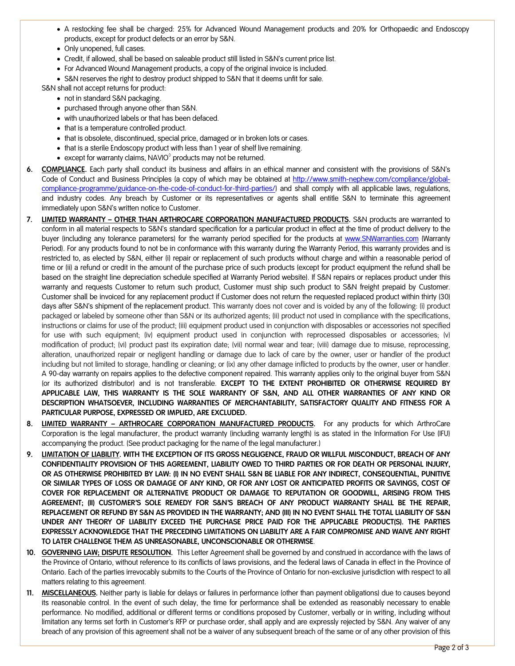- A restocking fee shall be charged: 25% for Advanced Wound Management products and 20% for Orthopaedic and Endoscopy products, except for product defects or an error by S&N.
- Only unopened, full cases.
- Credit, if allowed, shall be based on saleable product still listed in S&N's current price list.
- For Advanced Wound Management products, a copy of the original invoice is included.
- S&N reserves the right to destroy product shipped to S&N that it deems unfit for sale.

S&N shall not accept returns for product:

- not in standard S&N packaging.
- purchased through anyone other than S&N.
- with unauthorized labels or that has been defaced.
- that is a temperature controlled product.
- that is obsolete, discontinued, special price, damaged or in broken lots or cases.
- that is a sterile Endoscopy product with less than 1 year of shelf live remaining.
- except for warranty claims, NAVIO $^{\circ}$  products may not be returned.
- **6. COMPLIANCE.** Each party shall conduct its business and affairs in an ethical manner and consistent with the provisions of S&N's Code of Conduct and Business Principles (a copy of which may be obtained at [http://www.smith-nephew.com/compliance/global](http://www.smith-nephew.com/compliance/global-compliance-programme/guidance-on-the-code-of-conduct-for-third-parties/)[compliance-programme/guidance-on-the-code-of-conduct-for-third-parties/\)](http://www.smith-nephew.com/compliance/global-compliance-programme/guidance-on-the-code-of-conduct-for-third-parties/) and shall comply with all applicable laws, regulations, and industry codes. Any breach by Customer or its representatives or agents shall entitle S&N to terminate this agreement immediately upon S&N's written notice to Customer.
- **7. LIMITED WARRANTY OTHER THAN ARTHROCARE CORPORATION MANUFACTURED PRODUCTS.** S&N products are warranted to conform in all material respects to S&N's standard specification for a particular product in effect at the time of product delivery to the buyer (including any tolerance parameters) for the warranty period specified for the products at [www.SNWarranties.com](http://www.snwarranties.com/) (Warranty Period). For any products found to not be in conformance with this warranty during the Warranty Period, this warranty provides and is restricted to, as elected by S&N, either (i) repair or replacement of such products without charge and within a reasonable period of time or (ii) a refund or credit in the amount of the purchase price of such products (except for product equipment the refund shall be based on the straight line depreciation schedule specified at Warranty Period website). If S&N repairs or replaces product under this warranty and requests Customer to return such product, Customer must ship such product to S&N freight prepaid by Customer. Customer shall be invoiced for any replacement product if Customer does not return the requested replaced product within thirty (30) days after S&N's shipment of the replacement product. This warranty does not cover and is voided by any of the following: (i) product packaged or labeled by someone other than S&N or its authorized agents; (ii) product not used in compliance with the specifications, instructions or claims for use of the product; (iii) equipment product used in conjunction with disposables or accessories not specified for use with such equipment; (iv) equipment product used in conjunction with reprocessed disposables or accessories; (v) modification of product; (vi) product past its expiration date; (vii) normal wear and tear; (viii) damage due to misuse, reprocessing, alteration, unauthorized repair or negligent handling or damage due to lack of care by the owner, user or handler of the product including but not limited to storage, handling or cleaning; or (ix) any other damage inflicted to products by the owner, user or handler. A 90-day warranty on repairs applies to the defective component repaired. This warranty applies only to the original buyer from S&N (or its authorized distributor) and is not transferable. **EXCEPT TO THE EXTENT PROHIBITED OR OTHERWISE REQUIRED BY APPLICABLE LAW, THIS WARRANTY IS THE SOLE WARRANTY OF S&N, AND ALL OTHER WARRANTIES OF ANY KIND OR DESCRIPTION WHATSOEVER, INCLUDING WARRANTIES OF MERCHANTABILITY, SATISFACTORY QUALITY AND FITNESS FOR A PARTICULAR PURPOSE, EXPRESSED OR IMPLIED, ARE EXCLUDED.**
- **8. LIMITED WARRANTY ARTHROCARE CORPORATION MANUFACTURED PRODUCTS.** For any products for which ArthroCare Corporation is the legal manufacturer, the product warranty (including warranty length) is as stated in the Information For Use (IFU) accompanying the product. (See product packaging for the name of the legal manufacturer.)
- **9. LIMITATION OF LIABILITY. WITH THE EXCEPTION OF ITS GROSS NEGLIGENCE, FRAUD OR WILLFUL MISCONDUCT, BREACH OF ANY CONFIDENTIALITY PROVISION OF THIS AGREEMENT, LIABILITY OWED TO THIRD PARTIES OR FOR DEATH OR PERSONAL INJURY, OR AS OTHERWISE PROHIBITED BY LAW: (I) IN NO EVENT SHALL S&N BE LIABLE FOR ANY INDIRECT, CONSEQUENTIAL, PUNITIVE OR SIMILAR TYPES OF LOSS OR DAMAGE OF ANY KIND, OR FOR ANY LOST OR ANTICIPATED PROFITS OR SAVINGS, COST OF COVER FOR REPLACEMENT OR ALTERNATIVE PRODUCT OR DAMAGE TO REPUTATION OR GOODWILL, ARISING FROM THIS AGREEMENT; (II) CUSTOMER'S SOLE REMEDY FOR S&N'S BREACH OF ANY PRODUCT WARRANTY SHALL BE THE REPAIR, REPLACEMENT OR REFUND BY S&N AS PROVIDED IN THE WARRANTY; AND (III) IN NO EVENT SHALL THE TOTAL LIABILITY OF S&N UNDER ANY THEORY OF LIABILITY EXCEED THE PURCHASE PRICE PAID FOR THE APPLICABLE PRODUCT(S). THE PARTIES EXPRESSLY ACKNOWLEDGE THAT THE PRECEDING LIMITATIONS ON LIABILITY ARE A FAIR COMPROMISE AND WAIVE ANY RIGHT TO LATER CHALLENGE THEM AS UNREASONABLE, UNCONSCIONABLE OR OTHERWISE**.
- **10. GOVERNING LAW; DISPUTE RESOLUTION.** This Letter Agreement shall be governed by and construed in accordance with the laws of the Province of Ontario, without reference to its conflicts of laws provisions, and the federal laws of Canada in effect in the Province of Ontario. Each of the parties irrevocably submits to the Courts of the Province of Ontario for non-exclusive jurisdiction with respect to all matters relating to this agreement.
- **11. MISCELLANEOUS.** Neither party is liable for delays or failures in performance (other than payment obligations) due to causes beyond its reasonable control. In the event of such delay, the time for performance shall be extended as reasonably necessary to enable performance. No modified, additional or different terms or conditions proposed by Customer, verbally or in writing, including without limitation any terms set forth in Customer's RFP or purchase order, shall apply and are expressly rejected by S&N. Any waiver of any breach of any provision of this agreement shall not be a waiver of any subsequent breach of the same or of any other provision of this